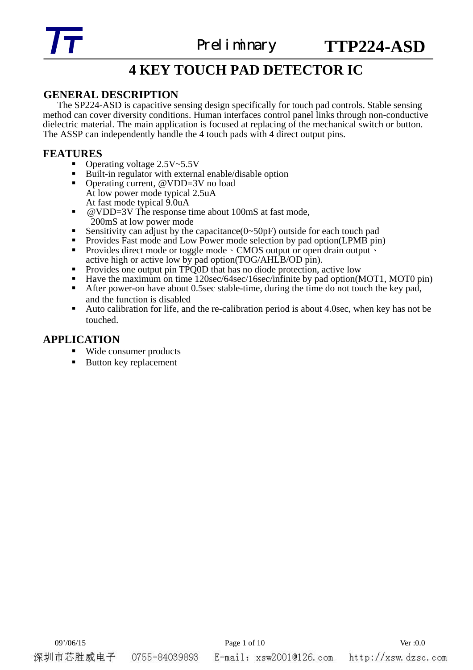

# **4 KEY TOUCH PAD DETECTOR IC**

# **GENERAL DESCRIPTION**

The SP224-ASD is capacitive sensing design specifically for touch pad controls. Stable sensing method can cover diversity conditions. Human interfaces control panel links through non-conductive dielectric material. The main application is focused at replacing of the mechanical switch or button. The ASSP can independently handle the 4 touch pads with 4 direct output pins.

- **FEATURES**<br>• Operating voltage 2.5V~5.5V
	- Operating voltage 2.5V~5.5V<br>
	 Built-in regulator with external enable/disable option<br>
	 Operating current, @VDD=3V no load
	- At low power mode typical 2.5uA
	- At fast mode typical 9.0uA<br> **a** @VDD=3V The response time about 100mS at fast mode,
	-
	-
	- 200mS at low power mode<br>
	Sensitivity can adjust by the capacitance(0∼50pF) outside for each touch pad<br>
	Provides Fast mode and Low Power mode selection by pad option(LPMB pin)<br>
	Provides direct mode or toggle mode · CMOS ou
	- Provides one output pin  $TPQOD$  that has no diode protection, active low
	- Have the maximum on time 120sec/64sec/16sec/infinite by pad option(MOT1, MOT0 pin)
	- After power-on have about 0.5sec stable-time, during the time do not touch the key pad, and the function is disabled
	- Auto calibration for life, and the re-calibration period is about 4.0sec, when key has not be touched.

# **APPLICATION**

- Wide consumer products
- Button key replacement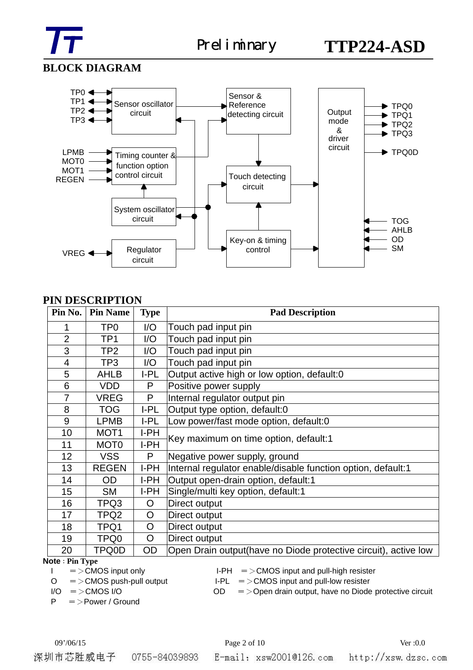

# **BLOCK DIAGRAM**



# **PIN DESCRIPTION**

| Pin No.        | <b>Pin Name</b>  | <b>Type</b>  | <b>Pad Description</b>                                           |
|----------------|------------------|--------------|------------------------------------------------------------------|
| 1              | TP0              | I/O          | Touch pad input pin                                              |
| $\overline{2}$ | TP <sub>1</sub>  | I/O          | Touch pad input pin                                              |
| 3              | TP <sub>2</sub>  | 1/O          | Touch pad input pin                                              |
| 4              | TP3              | I/O          | Touch pad input pin                                              |
| 5              | <b>AHLB</b>      | $I-PL$       | Output active high or low option, default:0                      |
| 6              | <b>VDD</b>       | P            | Positive power supply                                            |
| 7              | <b>VREG</b>      | P            | Internal regulator output pin                                    |
| 8              | <b>TOG</b>       | I-PL         | Output type option, default:0                                    |
| 9              | <b>LPMB</b>      | I-PL         | Low power/fast mode option, default:0                            |
| 10             | MOT <sub>1</sub> | I-PH         | Key maximum on time option, default:1                            |
| 11             | MOT <sub>0</sub> | I-PH         |                                                                  |
| 12             | VSS.             | P            | Negative power supply, ground                                    |
| 13             | <b>REGEN</b>     | I-PH         | Internal regulator enable/disable function option, default:1     |
| 14             | OD               | I-PH         | Output open-drain option, default:1                              |
| 15             | <b>SM</b>        | I-PH         | Single/multi key option, default:1                               |
| 16             | TPQ3             | O            | Direct output                                                    |
| 17             | TPQ2             | O            | Direct output                                                    |
| 18             | TPQ1             | $\mathsf{O}$ | Direct output                                                    |
| 19             | TPQ0             | $\mathsf{O}$ | Direct output                                                    |
| 20             | TPQ0D            | <b>OD</b>    | Open Drain output (have no Diode protective circuit), active low |

#### **Note**:**Pin Type**

- 
- 

P =>Power / Ground

- $I = \angle$ CMOS input only  $I-PH = \angle$ CMOS input and pull-high resister
- $O = \text{MOS}$  push-pull output I-PL =  $\text{MOS}$  input and pull-low resister

 $I/O$  = > CMOS  $I/O$   $OD$  = > Open drain output, have no Diode protective circuit

深圳市芯胜威电子 0755-84039893

# 09'/06/15 Page 2 of 10 Ver :0.0

E-mail: xsw2001@126.com http://xsw.dzsc.com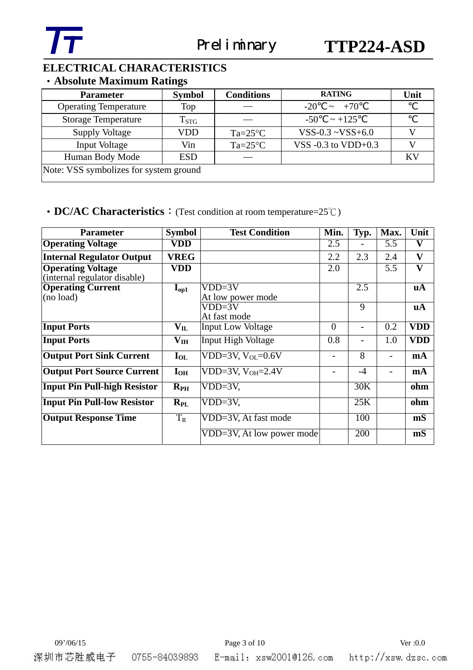

# **ELECTRICAL CHARACTERISTICS**

# ‧**Absolute Maximum Ratings**

| <b>Parameter</b>                       | <b>Symbol</b>      | <b>Conditions</b> | <b>RATING</b>            | Unit |
|----------------------------------------|--------------------|-------------------|--------------------------|------|
| <b>Operating Temperature</b>           | Top                |                   | $\sim +70$<br>$-20$      |      |
| <b>Storage Temperature</b>             | $T_{\mathrm{STG}}$ |                   | $-50$<br>$\sim +125$     |      |
| <b>Supply Voltage</b>                  | VDD                | $Ta=25^{\circ}C$  | $VSS-0.3 \sim VSS+6.0$   |      |
| <b>Input Voltage</b>                   | Vin                | $Ta=25^{\circ}C$  | VSS $-0.3$ to VDD $+0.3$ |      |
| Human Body Mode                        | <b>ESD</b>         |                   |                          | KV   |
| Note: VSS symbolizes for system ground |                    |                   |                          |      |

# • **DC/AC Characteristics**: (Test condition at room temperature=25°C)

| <b>Parameter</b>                                         | <b>Symbol</b>            | <b>Test Condition</b>                   | Min.                     | Typ.           | Max.                     | Unit         |
|----------------------------------------------------------|--------------------------|-----------------------------------------|--------------------------|----------------|--------------------------|--------------|
| <b>Operating Voltage</b>                                 | VDD                      |                                         | 2.5                      |                | 5.5                      | $\mathbf{V}$ |
| <b>Internal Regulator Output</b>                         | <b>VREG</b>              |                                         | 2.2                      | 2.3            | 2.4                      | $\mathbf{V}$ |
| <b>Operating Voltage</b><br>(internal regulator disable) | VDD                      |                                         | 2.0                      |                | 5.5                      | V            |
| <b>Operating Current</b><br>(no load)                    | $I_{\text{op1}}$         | $VDD=3V$<br>At low power mode           |                          | 2.5            |                          | uA           |
|                                                          |                          | VDD=3V<br>At fast mode                  |                          | $\overline{9}$ |                          | <b>uA</b>    |
| <b>Input Ports</b>                                       | $\mathbf{V_{IL}}$        | <b>Input Low Voltage</b>                | $\overline{0}$           |                | 0.2                      | <b>VDD</b>   |
| <b>Input Ports</b>                                       | $\mathbf{V}_{\text{IH}}$ | <b>Input High Voltage</b>               | 0.8                      |                | 1.0                      | <b>VDD</b>   |
| <b>Output Port Sink Current</b>                          | $I_{OL}$                 | VDD=3V, $V_{OL}$ =0.6V                  | $\overline{\phantom{a}}$ | 8              |                          | mA           |
| <b>Output Port Source Current</b>                        | $I_{OH}$                 | VDD=3V, $V_{OH}$ =2.4V                  |                          | $-4$           | $\overline{\phantom{0}}$ | mA           |
| <b>Input Pin Pull-high Resistor</b>                      | $R_{PH}$                 | $VDD=3V$ ,                              |                          | 30K            |                          | ohm          |
| <b>Input Pin Pull-low Resistor</b>                       | $R_{PL}$                 | $VDD=3V$ ,                              |                          | 25K            |                          | ohm          |
| <b>Output Response Time</b>                              | $T_R$                    | VDD=3V, At fast mode                    |                          | 100            |                          | mS           |
|                                                          |                          | $\overline{VDD}$ =3V, At low power mode |                          | 200            |                          | mS           |

深圳市芯胜威电子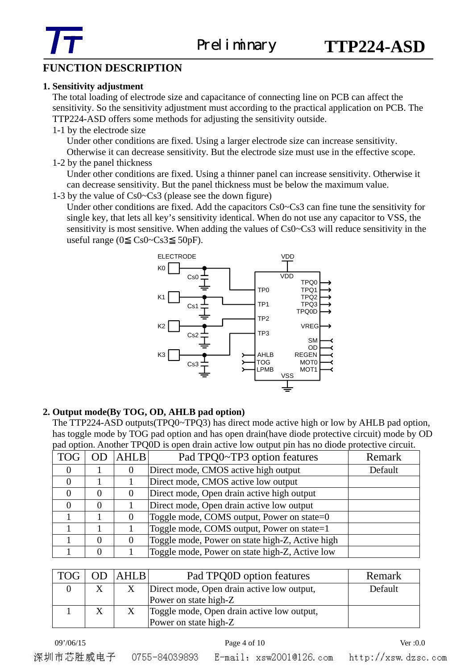

# **FUNCTION DESCRIPTION**

## **1. Sensitivity adjustment**

 The total loading of electrode size and capacitance of connecting line on PCB can affect the sensitivity. So the sensitivity adjustment must according to the practical application on PCB. The TTP224-ASD offers some methods for adjusting the sensitivity outside.

1-1 by the electrode size

Under other conditions are fixed. Using a larger electrode size can increase sensitivity.

Otherwise it can decrease sensitivity. But the electrode size must use in the effective scope. 1-2 by the panel thickness

Under other conditions are fixed. Using a thinner panel can increase sensitivity. Otherwise it can decrease sensitivity. But the panel thickness must be below the maximum value.

1-3 by the value of Cs0~Cs3 (please see the down figure)

Under other conditions are fixed. Add the capacitors Cs0~Cs3 can fine tune the sensitivity for single key, that lets all key's sensitivity identical. When do not use any capacitor to VSS, the sensitivity is most sensitive. When adding the values of Cs0~Cs3 will reduce sensitivity in the useful range  $(0 \text{ Cs0} - \text{Cs0} - \text{Cs3} = 50 \text{pF}).$ 



# **2. Output mode(By TOG, OD, AHLB pad option)**

 The TTP224-ASD outputs(TPQ0~TPQ3) has direct mode active high or low by AHLB pad option, has toggle mode by TOG pad option and has open drain(have diode protective circuit) mode by OD pad option. Another TPQ0D is open drain active low output pin has no diode protective circuit.

| <b>TOG</b> | <b>OD</b> | <b>AHLB</b> | Pad TPQ0~TP3 option features                    | Remark  |
|------------|-----------|-------------|-------------------------------------------------|---------|
| $\theta$   |           |             | Direct mode, CMOS active high output            | Default |
| $\theta$   |           |             | Direct mode, CMOS active low output             |         |
| 0          |           |             | Direct mode, Open drain active high output      |         |
|            |           |             | Direct mode, Open drain active low output       |         |
|            |           |             | Toggle mode, COMS output, Power on state=0      |         |
|            |           |             | Toggle mode, COMS output, Power on state=1      |         |
|            | 0         |             | Toggle mode, Power on state high-Z, Active high |         |
|            |           |             | Toggle mode, Power on state high-Z, Active low  |         |

| <b>TOG</b> | OD | AHLB | Pad TPQ0D option features                                           | Remark  |
|------------|----|------|---------------------------------------------------------------------|---------|
|            | X  |      | Direct mode, Open drain active low output,<br>Power on state high-Z | Default |
|            |    |      | Toggle mode, Open drain active low output,<br>Power on state high-Z |         |

09'/06/15 **Page 4 of 10 Page 4 of 10 Ver** :0.0

E-mail: xsw20010126.com

深圳市芯胜威电子 0755-84039893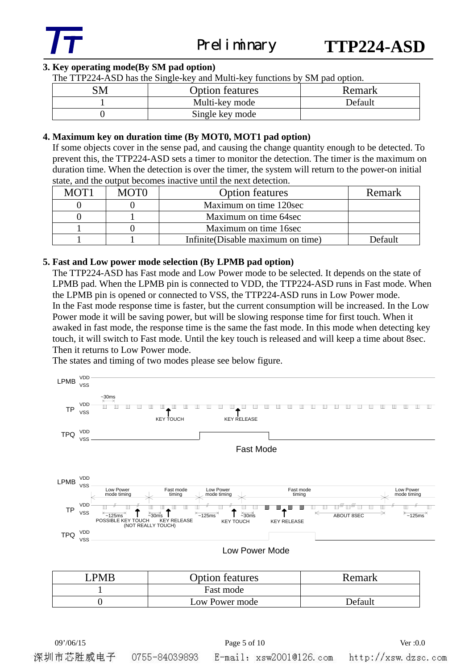

## **3. Key operating mode(By SM pad option)**

The TTP224-ASD has the Single-key and Multi-key functions by SM pad option.

| SM | <b>Option features</b> | Remark  |
|----|------------------------|---------|
|    | Multi-key mode         | Default |
|    | Single key mode        |         |

### **4. Maximum key on duration time (By MOT0, MOT1 pad option)**

If some objects cover in the sense pad, and causing the change quantity enough to be detected. To prevent this, the TTP224-ASD sets a timer to monitor the detection. The timer is the maximum on duration time. When the detection is over the timer, the system will return to the power-on initial state, and the output becomes inactive until the next detection.

| MOT <sub>1</sub> | <b>MOTO</b> | <b>Option features</b>            | Remark  |
|------------------|-------------|-----------------------------------|---------|
|                  |             | Maximum on time 120sec            |         |
|                  |             | Maximum on time 64sec             |         |
|                  |             | Maximum on time 16sec             |         |
|                  |             | Infinite(Disable maximum on time) | Default |

### **5. Fast and Low power mode selection (By LPMB pad option)**

The TTP224-ASD has Fast mode and Low Power mode to be selected. It depends on the state of LPMB pad. When the LPMB pin is connected to VDD, the TTP224-ASD runs in Fast mode. When the LPMB pin is opened or connected to VSS, the TTP224-ASD runs in Low Power mode. In the Fast mode response time is faster, but the current consumption will be increased. In the Low Power mode it will be saving power, but will be slowing response time for first touch. When it awaked in fast mode, the response time is the same the fast mode. In this mode when detecting key touch, it will switch to Fast mode. Until the key touch is released and will keep a time about 8sec. Then it returns to Low Power mode.

The states and timing of two modes please see below figure.



| <b>PMR</b> | <b>Option features</b> | Remark  |
|------------|------------------------|---------|
|            | Fast mode              |         |
|            | Low Power mode         | Default |

深圳市芯胜威电子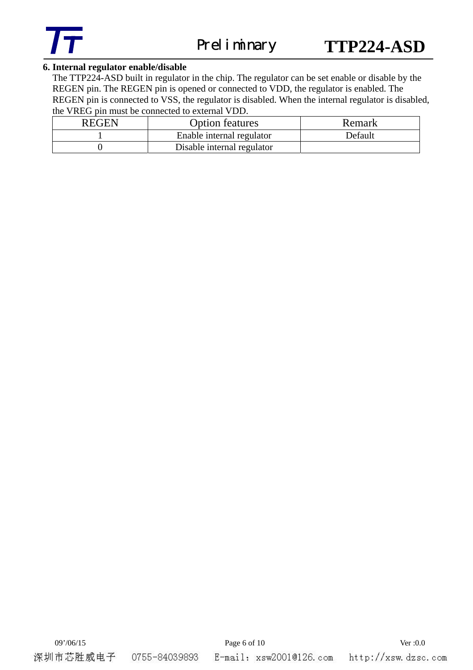

## **6. Internal regulator enable/disable**

The TTP224-ASD built in regulator in the chip. The regulator can be set enable or disable by the REGEN pin. The REGEN pin is opened or connected to VDD, the regulator is enabled. The REGEN pin is connected to VSS, the regulator is disabled. When the internal regulator is disabled, the VREG pin must be connected to external VDD.

| <b>REGEN</b> | <b>Option features</b>     | Remark  |
|--------------|----------------------------|---------|
|              | Enable internal regulator  | Default |
|              | Disable internal regulator |         |

深圳市芯胜威电子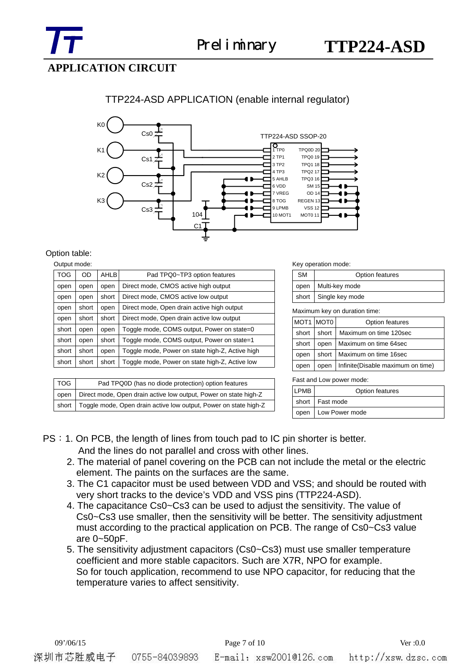# **APPLICATION CIRCUIT**

# TTP224-ASD APPLICATION (enable internal regulator)



#### Option table:  $Q_{\text{under}}$

| Oulpul Hiode. |       |             |                                                 |
|---------------|-------|-------------|-------------------------------------------------|
| <b>TOG</b>    | OD.   | <b>AHLB</b> | Pad TPQ0~TP3 option features                    |
| open          | open  | open        | Direct mode, CMOS active high output            |
| open          | open  | short       | Direct mode, CMOS active low output             |
| open          | short | open        | Direct mode, Open drain active high output      |
| open          | short | short       | Direct mode, Open drain active low output       |
| short         | open  | open        | Toggle mode, COMS output, Power on state=0      |
| short         | open  | short       | Toggle mode, COMS output, Power on state=1      |
| short         | short | open        | Toggle mode, Power on state high-Z, Active high |
| short         | short | short       | Toggle mode, Power on state high-Z, Active low  |
|               |       |             |                                                 |

| <b>TOG</b> | Pad TPQ0D (has no diode protection) option features                      |
|------------|--------------------------------------------------------------------------|
|            | open   Direct mode, Open drain active low output, Power on state high-Z  |
|            | short   Toggle mode, Open drain active low output, Power on state high-Z |

#### Key operation mode:

| <b>SM</b>             | Option features     |  |
|-----------------------|---------------------|--|
|                       | open Multi-key mode |  |
| short Single key mode |                     |  |

Maximum key on duration time:

| MOT1 MOT0 |         | Option features                   |  |  |  |
|-----------|---------|-----------------------------------|--|--|--|
| short     | short I | Maximum on time 120sec            |  |  |  |
| short     | open    | Maximum on time 64sec             |  |  |  |
| open      |         | short   Maximum on time 16sec     |  |  |  |
| open      | open    | Infinite(Disable maximum on time) |  |  |  |

Fast and Low power mode:

| LPMB | Option features       |  |  |  |
|------|-----------------------|--|--|--|
|      | short   Fast mode     |  |  |  |
|      | open   Low Power mode |  |  |  |

# PS: 1. On PCB, the length of lines from touch pad to IC pin shorter is better. And the lines do not parallel and cross with other lines.

- 2. The material of panel covering on the PCB can not include the metal or the electric element. The paints on the surfaces are the same.
- 3. The C1 capacitor must be used between VDD and VSS; and should be routed with very short tracks to the device's VDD and VSS pins (TTP224-ASD).
- 4. The capacitance Cs0~Cs3 can be used to adjust the sensitivity. The value of Cs0~Cs3 use smaller, then the sensitivity will be better. The sensitivity adjustment must according to the practical application on PCB. The range of Cs0~Cs3 value are 0~50pF.
- 5. The sensitivity adjustment capacitors (Cs0~Cs3) must use smaller temperature coefficient and more stable capacitors. Such are X7R, NPO for example. So for touch application, recommend to use NPO capacitor, for reducing that the temperature varies to affect sensitivity.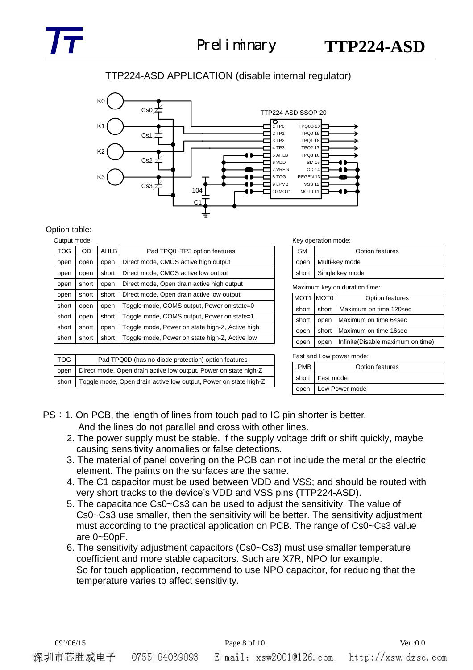# TTP224-ASD APPLICATION (disable internal regulator)



#### Option table:

#### Output mode:

| <b>TOG</b> | OD                                                               | <b>AHLB</b> | Pad TPQ0~TP3 option features                    |  |  |  |
|------------|------------------------------------------------------------------|-------------|-------------------------------------------------|--|--|--|
| open       | open                                                             | open        | Direct mode, CMOS active high output            |  |  |  |
| open       | open                                                             | short       | Direct mode, CMOS active low output             |  |  |  |
| open       | short                                                            | open        | Direct mode, Open drain active high output      |  |  |  |
| open       | short                                                            | short       | Direct mode, Open drain active low output       |  |  |  |
| short      | open                                                             | open        | Toggle mode, COMS output, Power on state=0      |  |  |  |
| short      | open                                                             | short       | Toggle mode, COMS output, Power on state=1      |  |  |  |
| short      | short                                                            | open        | Toggle mode, Power on state high-Z, Active high |  |  |  |
| short      | Toggle mode, Power on state high-Z, Active low<br>short<br>short |             |                                                 |  |  |  |
|            |                                                                  |             |                                                 |  |  |  |
| <b>TOG</b> | Pad TPQ0D (has no diode protection) option features              |             |                                                 |  |  |  |
| open       | Direct mode, Open drain active low output, Power on state high-Z |             |                                                 |  |  |  |
| short      | Toggle mode, Open drain active low output, Power on state high-Z |             |                                                 |  |  |  |

Key operation mode:

| <b>SM</b> | Option features         |  |  |
|-----------|-------------------------|--|--|
|           | open   Multi-key mode   |  |  |
|           | short   Single key mode |  |  |

Maximum key on duration time:

| MOT1 MOT0 |       | Option features                   |  |  |  |
|-----------|-------|-----------------------------------|--|--|--|
| short     | short | Maximum on time 120sec            |  |  |  |
| short     | open  | Maximum on time 64sec             |  |  |  |
| open      | short | Maximum on time 16sec             |  |  |  |
| open      | open  | Infinite(Disable maximum on time) |  |  |  |

Fast and Low power mode:

| <b>LPMB</b> | Option features       |
|-------------|-----------------------|
|             | short Fast mode       |
|             | open   Low Power mode |

- PS: 1. On PCB, the length of lines from touch pad to IC pin shorter is better. And the lines do not parallel and cross with other lines.
	- 2. The power supply must be stable. If the supply voltage drift or shift quickly, maybe causing sensitivity anomalies or false detections.
	- 3. The material of panel covering on the PCB can not include the metal or the electric element. The paints on the surfaces are the same.
	- 4. The C1 capacitor must be used between VDD and VSS; and should be routed with very short tracks to the device's VDD and VSS pins (TTP224-ASD).
	- 5. The capacitance Cs0~Cs3 can be used to adjust the sensitivity. The value of Cs0~Cs3 use smaller, then the sensitivity will be better. The sensitivity adjustment must according to the practical application on PCB. The range of Cs0~Cs3 value are 0~50pF.
	- 6. The sensitivity adjustment capacitors (Cs0~Cs3) must use smaller temperature coefficient and more stable capacitors. Such are X7R, NPO for example. So for touch application, recommend to use NPO capacitor, for reducing that the temperature varies to affect sensitivity.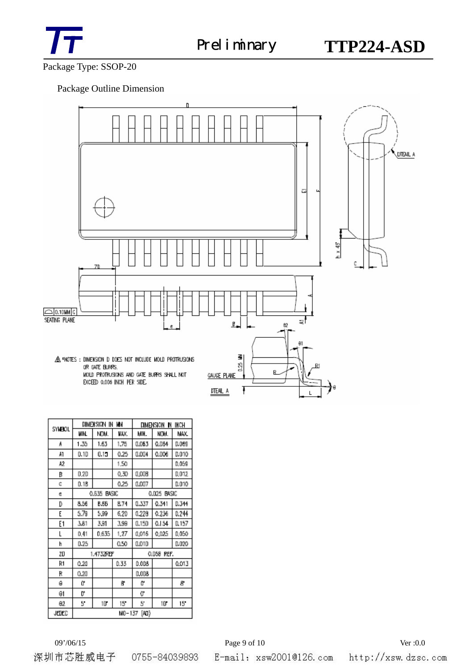

Package Type: SSOP-20

## Package Outline Dimension



| SYNEOL   | W٧<br>DIMENSION<br>IN |             |      | INCH<br>DIMENSION IN |       |        |
|----------|-----------------------|-------------|------|----------------------|-------|--------|
|          | WIN                   | NOM.        | WAX. | MIH.                 | NCW.  | MAX.   |
| Ă        | 1.35                  | 1.63        | 1,75 | 0.063                | Q.DB4 | D.069  |
| Å1       | D.1D                  | 0.15        | 0.25 | 0.004                | 0.DO6 | 0.010  |
| A2       |                       |             | 1.50 |                      |       | 0.059  |
| B        | 0.20                  |             | 0.30 | 0,008                |       | 0,012  |
| c        | 0.16                  |             | 0.25 | 0.007                |       | 0.010  |
| e        | BASIC<br>0.635        |             |      | 0.025 BASIC          |       |        |
| D        | 8.56                  | <b>B.66</b> | 8.74 | 0.337                | 0.341 | D.344  |
| E        | 5.79                  | 5.99        | 6.20 | 0.228                | 0.236 | 0.244  |
| Ε1       | 3.81                  | 391         | 3.99 | 0.150                | 0.154 | D. 157 |
| L        | 0.41                  | 0.635       | 1.27 | 0.016                | 0.025 | 0.050  |
| h        | 0.25                  |             | 0.50 | 0.010                |       | 0.020  |
| ΖŪ       | 1.4732REF             |             |      | 0.058<br>REF.        |       |        |
| R1       | 0.20                  |             | 0.33 | 0.008                |       | 0.013  |
| R        | 0.20                  |             |      | D.OD8                |       |        |
| ė        | ũ                     |             | 6    | Q.                   |       | 8      |
| θ1       | O,                    |             |      | 0,                   |       |        |
| $\theta$ | 5.                    | 1D°         | 15   | 5                    | 10    | 15     |
| JEDED    | [AD}<br>MO-137        |             |      |                      |       |        |

深圳市芯胜威电子 0755-84039893

E-mail: xsw2001@126.com http://xsw.dzsc.com